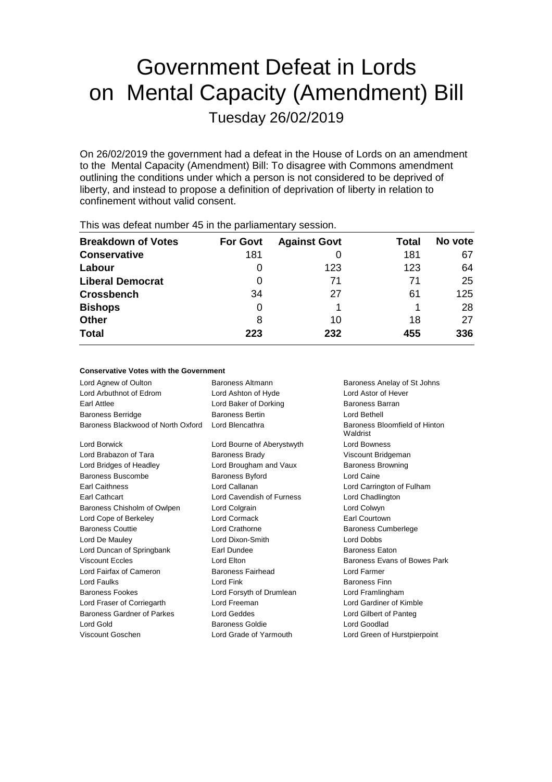# Government Defeat in Lords on Mental Capacity (Amendment) Bill Tuesday 26/02/2019

On 26/02/2019 the government had a defeat in the House of Lords on an amendment to the Mental Capacity (Amendment) Bill: To disagree with Commons amendment outlining the conditions under which a person is not considered to be deprived of liberty, and instead to propose a definition of deprivation of liberty in relation to confinement without valid consent.

| <b>Breakdown of Votes</b> | <b>For Govt</b> | <b>Against Govt</b> | Total | No vote |
|---------------------------|-----------------|---------------------|-------|---------|
| <b>Conservative</b>       | 181             |                     | 181   | 67      |
| Labour                    | O               | 123                 | 123   | 64      |
| <b>Liberal Democrat</b>   | 0               | 71                  | 71    | 25      |
| <b>Crossbench</b>         | 34              | 27                  | 61    | 125     |
| <b>Bishops</b>            | 0               |                     |       | 28      |
| <b>Other</b>              | 8               | 10                  | 18    | 27      |
| <b>Total</b>              | 223             | 232                 | 455   | 336     |
|                           |                 |                     |       |         |

This was defeat number 45 in the parliamentary session.

# **Conservative Votes with the Government**

| Lord Agnew of Oulton               | Baroness Altmann           | Baroness Anelay of St Johns               |
|------------------------------------|----------------------------|-------------------------------------------|
| Lord Arbuthnot of Edrom            | Lord Ashton of Hyde        | Lord Astor of Hever                       |
| Earl Attlee                        | Lord Baker of Dorking      | Baroness Barran                           |
| <b>Baroness Berridge</b>           | <b>Baroness Bertin</b>     | Lord Bethell                              |
| Baroness Blackwood of North Oxford | Lord Blencathra            | Baroness Bloomfield of Hinton<br>Waldrist |
| Lord Borwick                       | Lord Bourne of Aberystwyth | <b>Lord Bowness</b>                       |
| Lord Brabazon of Tara              | <b>Baroness Brady</b>      | Viscount Bridgeman                        |
| Lord Bridges of Headley            | Lord Brougham and Vaux     | <b>Baroness Browning</b>                  |
| Baroness Buscombe                  | <b>Baroness Byford</b>     | Lord Caine                                |
| <b>Earl Caithness</b>              | Lord Callanan              | Lord Carrington of Fulham                 |
| Earl Cathcart                      | Lord Cavendish of Furness  | Lord Chadlington                          |
| Baroness Chisholm of Owlpen        | Lord Colgrain              | Lord Colwyn                               |
| Lord Cope of Berkeley              | Lord Cormack               | <b>Earl Courtown</b>                      |
| <b>Baroness Couttie</b>            | Lord Crathorne             | <b>Baroness Cumberlege</b>                |
| Lord De Mauley                     | Lord Dixon-Smith           | Lord Dobbs                                |
| Lord Duncan of Springbank          | Earl Dundee                | <b>Baroness Eaton</b>                     |
| <b>Viscount Eccles</b>             | Lord Elton                 | Baroness Evans of Bowes Park              |
| Lord Fairfax of Cameron            | Baroness Fairhead          | <b>Lord Farmer</b>                        |
| Lord Faulks                        | Lord Fink                  | <b>Baroness Finn</b>                      |
| <b>Baroness Fookes</b>             | Lord Forsyth of Drumlean   | Lord Framlingham                          |
| Lord Fraser of Corriegarth         | Lord Freeman               | Lord Gardiner of Kimble                   |
| Baroness Gardner of Parkes         | Lord Geddes                | Lord Gilbert of Panteg                    |
| Lord Gold                          | <b>Baroness Goldie</b>     | Lord Goodlad                              |
| Viscount Goschen                   | Lord Grade of Yarmouth     | Lord Green of Hurstpierpoint              |
|                                    |                            |                                           |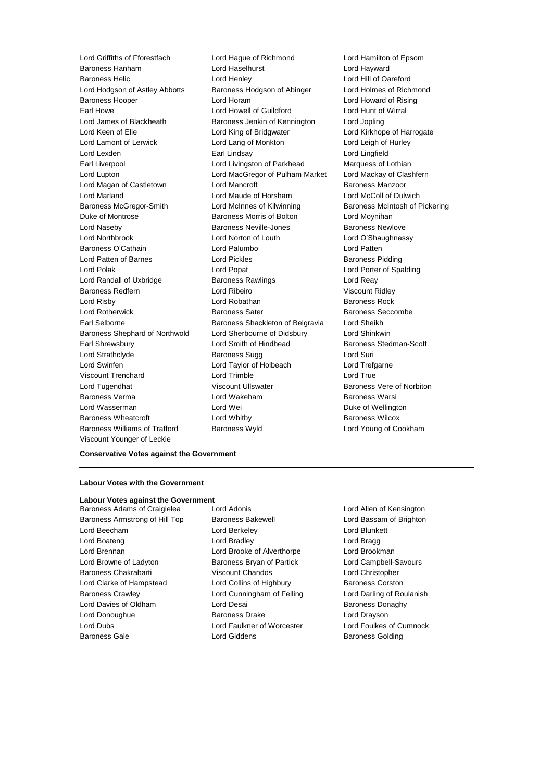Viscount Younger of Leckie

Lord Griffiths of Fforestfach Lord Hague of Richmond Lord Hamilton of Epsom Baroness Hanham Lord Haselhurst Lord Hayward Baroness Helic Lord Henley Lord Hill of Oareford Lord Hodgson of Astley Abbotts Baroness Hodgson of Abinger Lord Holmes of Richmond Baroness Hooper Lord Horam Lord Howard of Rising Earl Howe Lord Howell of Guildford Lord Hunt of Wirral Lord James of Blackheath Baroness Jenkin of Kennington Lord Jopling Lord King of Bridgwater **Lord Kirkhope of Harrogate** Lord Lamont of Lerwick Lord Lang of Monkton Lord Leigh of Hurley Lord Lexden Earl Lindsay Lord Lingfield Earl Liverpool **Lord Livingston of Parkhead** Marquess of Lothian Lord Lupton Lord MacGregor of Pulham Market Lord Mackay of Clashfern Lord Magan of Castletown **Lord Mancroft Condensity** Baroness Manzoor Lord Marland Lord Maude of Horsham Lord McColl of Dulwich Baroness McGregor-Smith Lord McInnes of Kilwinning Baroness McIntosh of Pickering Duke of Montrose Baroness Morris of Bolton Lord Moynihan Lord Naseby Baroness Neville-Jones Baroness Newlove Lord Northbrook Lord Norton of Louth Lord O'Shaughnessy Baroness O'Cathain Lord Palumbo Lord Patten Lord Patten of Barnes **Lord Pickles** Lord Pickles **Baroness Pidding** Lord Polak Lord Popat Lord Porter of Spalding Lord Randall of Uxbridge **Baroness Rawlings Lord Reay** Baroness Redfern Lord Ribeiro Viscount Ridley Lord Risby **Lord Robathan** Baroness Rock **Baroness** Rock Lord Rotherwick Baroness Sater Baroness Seccombe Earl Selborne **Baroness** Shackleton of Belgravia Lord Sheikh Baroness Shephard of Northwold Lord Sherbourne of Didsbury Lord Shinkwin Earl Shrewsbury **Lord Smith of Hindhead** Baroness Stedman-Scott Lord Strathclyde Baroness Sugg Lord Suri Lord Swinfen Lord Taylor of Holbeach Lord Trefgarne Viscount Trenchard **Lord Trimble** Lord True Lord Tugendhat **Viscount Ullswater** Baroness Vere of Norbiton Baroness Verma Lord Wakeham Baroness Warsi Lord Wasserman and Lord Wei Communication Duke of Wellington Baroness Wheatcroft Lord Whitby Baroness Wilcox Baroness Williams of Trafford Baroness Wyld Lord Young of Cookham

**Conservative Votes against the Government**

### **Labour Votes with the Government**

#### **Labour Votes against the Government**

Baroness Adams of Craigielea Lord Adonis Lord Allen of Kensington Baroness Armstrong of Hill Top Baroness Bakewell **Baroness Lord Bassam of Brighton** Lord Beecham Lord Berkeley Lord Blunkett Lord Boateng **Lord Bradley** Lord Bradley **Lord Bragg** Lord Brennan Lord Brooke of Alverthorpe Lord Brookman Lord Browne of Ladyton **Baroness Bryan of Partick** Lord Campbell-Savours Baroness Chakrabarti Viscount Chandos Lord Christopher Lord Clarke of Hampstead Lord Collins of Highbury Baroness Corston Baroness Crawley **Lord Cunningham of Felling Carol** Lord Darling of Roulanish Lord Davies of Oldham **Lord Desai** Baroness Donaghy Lord Donoughue **Baroness Drake** Lord Drayson Lord Dubs Lord Faulkner of Worcester Lord Foulkes of Cumnock Baroness Gale **Baroness Golding** Lord Giddens **Baroness Golding**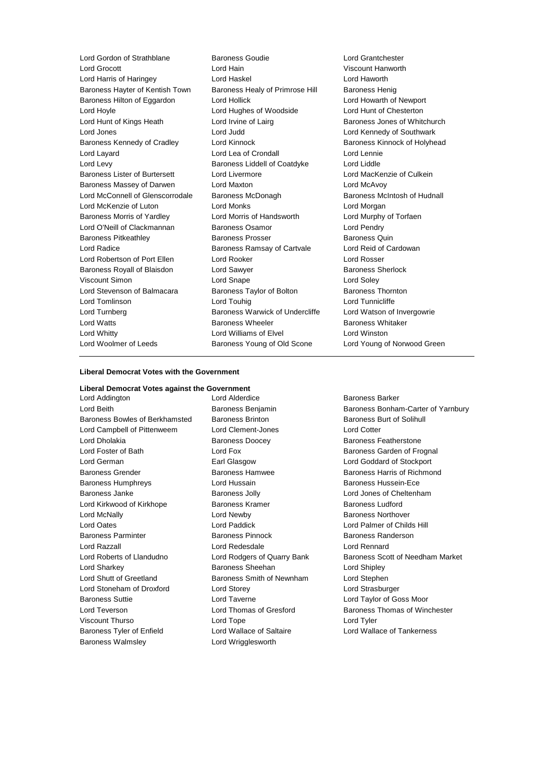Lord Gordon of Strathblane Baroness Goudie Lord Grantchester Lord Grocott Lord Hain Viscount Hanworth Lord Harris of Haringey Lord Haskel Lord Haworth Baroness Hayter of Kentish Town Baroness Healy of Primrose Hill Baroness Henig Baroness Hilton of Eggardon Lord Hollick Lord Hollick Lord Howarth of Newport Lord Hoyle Lord Hughes of Woodside Lord Hunt of Chesterton Lord Hunt of Kings Heath Lord Irvine of Lairg Baroness Jones of Whitchurch Lord Jones Lord Judd Lord Kennedy of Southwark Baroness Kennedy of Cradley **Lord Kinnock Baroness Kinnock baroness Kinnock of Holyhead** Lord Layard Lord Lea of Crondall Lord Lennie Lord Levy Baroness Liddell of Coatdyke Lord Liddle Baroness Lister of Burtersett Lord Livermore Lord MacKenzie of Culkein Baroness Massey of Darwen Lord Maxton Lord McAvoy Lord McConnell of Glenscorrodale Baroness McDonagh Baroness McIntosh of Hudnall Lord McKenzie of Luton Lord Monks Lord Morgan Baroness Morris of Yardley Lord Morris of Handsworth Lord Murphy of Torfaen Lord O'Neill of Clackmannan Baroness Osamor Lord Pendry Baroness Pitkeathley **Baroness Prosser** Baroness Quin Lord Radice **Baroness Ramsay of Cartvale** Lord Reid of Cardowan Lord Robertson of Port Ellen Lord Rooker Lord Rosser Baroness Royall of Blaisdon **Lord Sawyer Baroness Sherlock** Viscount Simon **Lord Snape** Lord Snape **Lord Soley** Lord Stevenson of Balmacara Baroness Taylor of Bolton Baroness Thornton Lord Tomlinson Lord Touhig Lord Tunnicliffe Lord Turnberg **Baroness Warwick of Undercliffe** Lord Watson of Invergowrie<br>
Lord Watts **Baroness Wheeler** Baroness Whitaker Lord Watts **Baroness Wheeler** Baroness Wheeler **Baroness Whitaker** Lord Whitty Lord Williams of Elvel Lord Winston Lord Woolmer of Leeds **Baroness Young of Old Scone** Lord Young of Norwood Green

#### **Liberal Democrat Votes with the Government**

**Liberal Democrat Votes against the Government** Lord Addington **Lord Alderdice Baroness Barker** Baroness Bowles of Berkhamsted Baroness Brinton Baroness Burt of Solihull Lord Campbell of Pittenweem Lord Clement-Jones Lord Cotter Lord Dholakia Baroness Doocey Baroness Featherstone Lord Foster of Bath Lord Fox Lord Fox Baroness Garden of Frognal Lord German Earl Glasgow Lord Goddard of Stockport Baroness Grender **Baroness Hamwee** Baroness Hamwee **Baroness Hammed Baroness Hammed Baroness** Hammed Baroness Hammed Baroness Hammed Baroness Hammed Baroness Hammed Baroness Hammed Baroness Hammed Baroness Hammed Baroness Baroness Humphreys Lord Hussain Baroness Hussein-Ece Baroness Janke Baroness Jolly Lord Jones of Cheltenham Lord Kirkwood of Kirkhope **Baroness Kramer** Baroness Ludford Lord McNally Lord Newby Baroness Northover Lord Oates Lord Paddick Lord Palmer of Childs Hill Baroness Parminter Baroness Pinnock Baroness Randerson Lord Razzall Lord Redesdale Lord Rennard Lord Roberts of Llandudno Lord Rodgers of Quarry Bank Baroness Scott of Needham Market Lord Sharkey **Baroness Sheehan** Lord Shipley **Constants In the Shipley** Lord Shutt of Greetland Baroness Smith of Newnham Lord Stephen Lord Stoneham of Droxford Lord Storey Lord Strasburger Baroness Suttie Lord Taverne Lord Taylor of Goss Moor Lord Teverson **Lord Thomas of Gresford** Baroness Thomas of Winchester Viscount Thurso Lord Tope Lord Tyler Baroness Tyler of Enfield Lord Wallace of Saltaire Lord Wallace of Tankerness Baroness Walmsley **Lord Wrigglesworth** 

Lord Beith Baroness Benjamin Baroness Bonham-Carter of Yarnbury